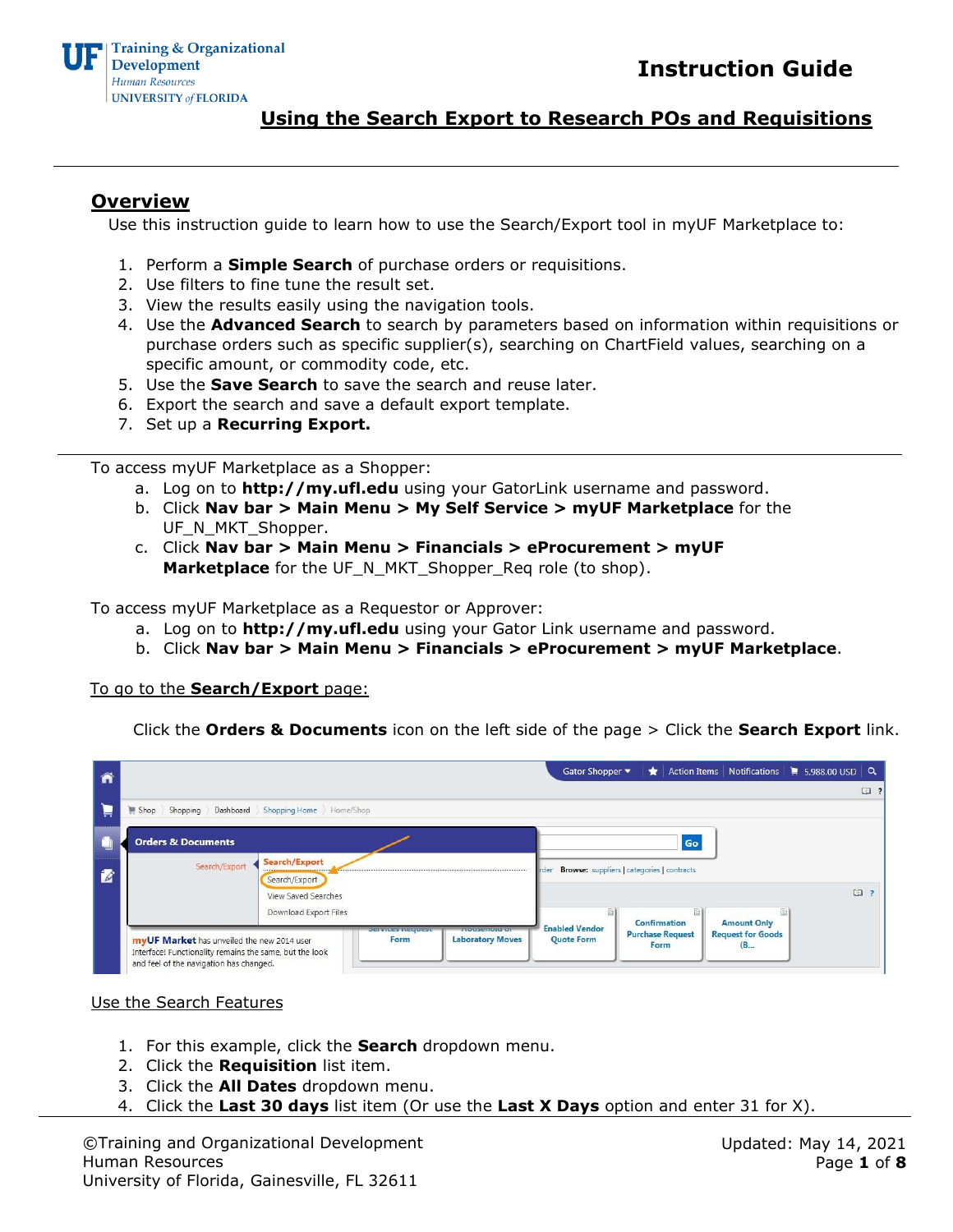### **Overview**

Use this instruction guide to learn how to use the Search/Export tool in myUF Marketplace to:

- 1. Perform a **Simple Search** of purchase orders or requisitions.
- 2. Use filters to fine tune the result set.
- 3. View the results easily using the navigation tools.
- 4. Use the **Advanced Search** to search by parameters based on information within requisitions or purchase orders such as specific supplier(s), searching on ChartField values, searching on a specific amount, or commodity code, etc.
- 5. Use the **Save Search** to save the search and reuse later.
- 6. Export the search and save a default export template.
- 7. Set up a **Recurring Export.**

To access myUF Marketplace as a Shopper:

- a. Log on to **[http://my.ufl.edu](http://my.ufl.edu/)** [us](http://my.ufl.edu/)ing your GatorLink username and password.
- b. Click **Nav bar > Main Menu > My Self Service > myUF Marketplace** for the UF\_N\_MKT\_Shopper.
- c. Click **Nav bar > Main Menu > Financials > eProcurement > myUF Marketplace** for the UF\_N\_MKT\_Shopper\_Req role (to shop).

To access myUF Marketplace as a Requestor or Approver:

- a. Log on to **[http://my.ufl.edu](http://my.ufl.edu/)** [us](http://my.ufl.edu/)ing your Gator Link username and password.
- b. Click **Nav bar > Main Menu > Financials > eProcurement > myUF Marketplace**.

#### To go to the **Search/Export** page:

Click the **Orders & Documents** icon on the left side of the page > Click the **Search Export** link.

| ñ |                                                                                                                                                                                     | Action Items   Notifications   5,988.00 USD   Q<br>Gator Shopper<br>$\star$            |
|---|-------------------------------------------------------------------------------------------------------------------------------------------------------------------------------------|----------------------------------------------------------------------------------------|
|   |                                                                                                                                                                                     | $\mathbb{Z}$ ?                                                                         |
| 眞 | Dashboard Shopping Home Home/Shop<br>$\blacksquare$ Shop<br>Shopping                                                                                                                |                                                                                        |
|   | <b>Orders &amp; Documents</b>                                                                                                                                                       | Go                                                                                     |
| 老 | Search/Export<br>Search/Export<br>Search/Export                                                                                                                                     | <b>Browse:</b> suppliers   categories   contracts<br>rder                              |
|   | View Saved Searches                                                                                                                                                                 | $\Box$                                                                                 |
|   | Download Export Files<br><b><i><u>INSTRUCTION CONTINUES.</u></i></b><br><b>PERMIT AND PERMIT</b>                                                                                    | Confirmation<br><b>Amount Only</b><br><b>Enabled Vendor</b>                            |
|   | <b>Laboratory Moves</b><br>Form<br>myUF Market has unveiled the new 2014 user<br>Interface! Functionality remains the same, but the look<br>and feel of the navigation has changed. | <b>Request for Goods</b><br><b>Purchase Request</b><br><b>Quote Form</b><br>Form<br>(B |

Use the Search Features

- 1. For this example, click the **Search** dropdown menu.
- 2. Click the **Requisition** list item.
- 3. Click the **All Dates** dropdown menu.
- 4. Click the **Last 30 days** list item (Or use the **Last X Days** option and enter 31 for X).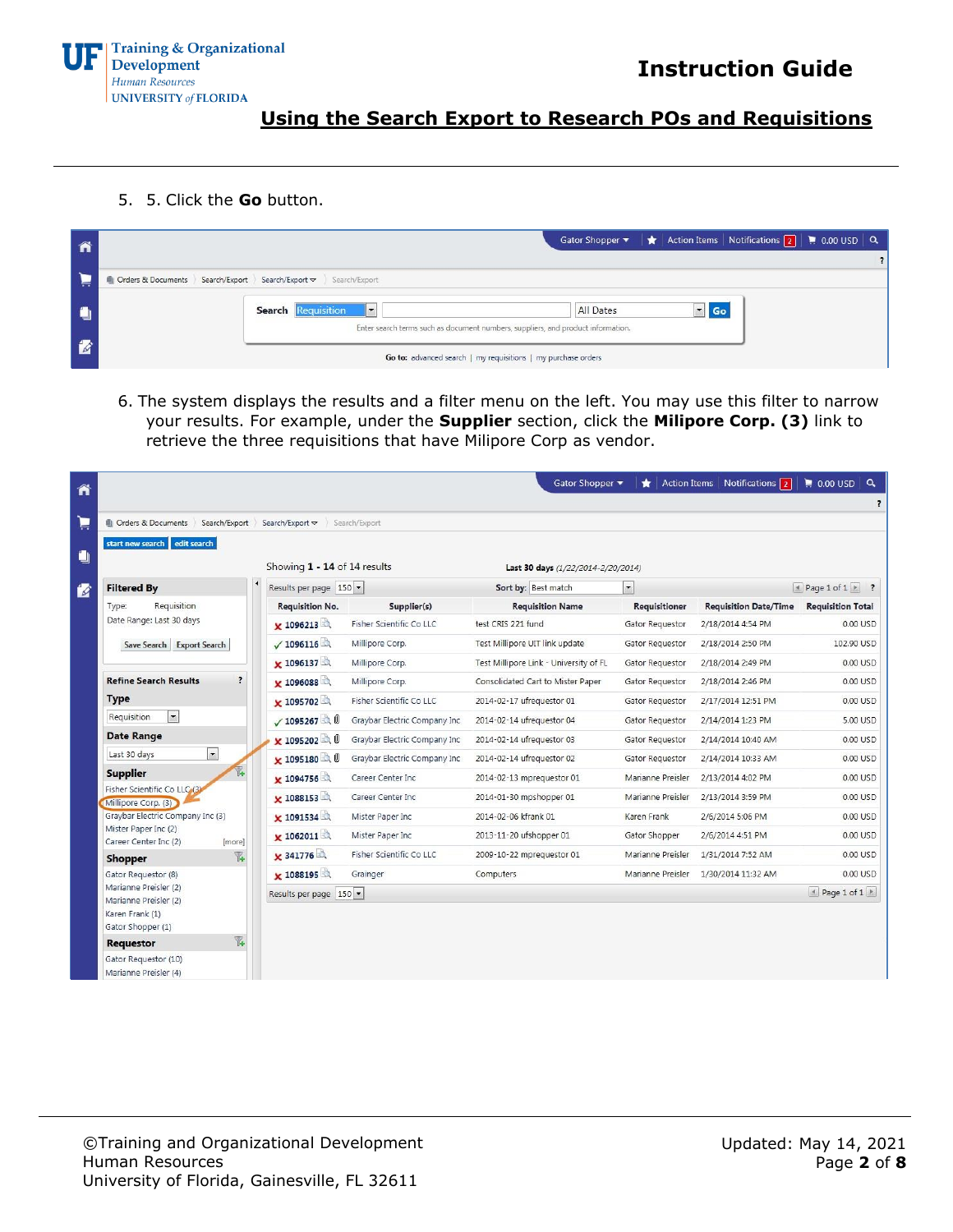

5. 5. Click the **Go** button.

| ĥ | Gator Shopper $\blacktriangledown$ $\blacktriangledown$ Action Items   Notifications $\boxed{2}$   $\blacktriangleright$ 0.00 USD   Q |  |
|---|---------------------------------------------------------------------------------------------------------------------------------------|--|
|   |                                                                                                                                       |  |
| 真 | Orders & Documents Search/Export Search/Export v Search/Export                                                                        |  |
| O | $\blacksquare$ Go<br>$\  \cdot \ $<br><b>Search Requisition</b><br>All Dates                                                          |  |
|   | Enter search terms such as document numbers, suppliers, and product information.                                                      |  |
| B | Go to: advanced search   my requisitions   my purchase orders                                                                         |  |

6. The system displays the results and a filter menu on the left. You may use this filter to narrow your results. For example, under the **Supplier** section, click the **Milipore Corp. (3)** link to retrieve the three requisitions that have Milipore Corp as vendor.

| Â |                                                         |                                  |                              | Gator Shopper                          |                          | Action Items   Notifications 2 | $\parallel$ 0.00 USD $\mid$ Q           |
|---|---------------------------------------------------------|----------------------------------|------------------------------|----------------------------------------|--------------------------|--------------------------------|-----------------------------------------|
|   |                                                         |                                  |                              |                                        |                          |                                | $\overline{\mathbf{z}}$                 |
| Þ | <b>I</b> Orders & Documents<br>Search/Export            | Search/Export $\triangledown$    | Search/Export                |                                        |                          |                                |                                         |
| O | edit search<br>start new search                         | Showing 1 - 14 of 14 results     |                              | Last 30 days (1/22/2014-2/20/2014)     |                          |                                |                                         |
| 咨 | <b>Filtered By</b>                                      | Results per page 150             |                              | Sort by: Best match                    | $\overline{\phantom{a}}$ |                                | $\angle$ Page 1 of 1 $\triangleright$ ? |
|   | Requisition<br>Type:                                    | <b>Requisition No.</b>           | Supplier(s)                  | <b>Requisition Name</b>                | Requisitioner            | <b>Requisition Date/Time</b>   | <b>Requisition Total</b>                |
|   | Date Range: Last 30 days                                | $\times 1096213$                 | Fisher Scientific Co LLC     | test CRIS 221 fund                     | Gator Requestor          | 2/18/2014 4:54 PM              | 0.00 USD                                |
|   | Save Search Export Search                               | $\sqrt{1096116}$                 | Millipore Corp.              | Test Millipore UIT link update         | Gator Requestor          | 2/18/2014 2:50 PM              | 102.90 USD                              |
|   |                                                         | × 1096137                        | Millipore Corp.              | Test Millipore Link - University of FL | Gator Requestor          | 2/18/2014 2:49 PM              | 0.00 USD                                |
|   | $\overline{\mathbf{?}}$<br><b>Refine Search Results</b> | ¥ 1096088                        | Millipore Corp.              | Consolidated Cart to Mister Paper      | Gator Requestor          | 2/18/2014 2:46 PM              | 0.00 USD                                |
|   | <b>Type</b>                                             | $\times 1095702$                 | Fisher Scientific Co LLC     | 2014-02-17 ufrequestor 01              | Gator Requestor          | 2/17/2014 12:51 PM             | 0.00 USD                                |
|   | $\blacksquare$<br>Requisition                           | $\times$ 1095267                 | Graybar Electric Company Inc | 2014-02-14 ufrequestor 04              | Gator Requestor          | 2/14/2014 1:23 PM              | 5.00 USD                                |
|   | <b>Date Range</b>                                       | x 1095202                        | Graybar Electric Company Inc | 2014-02-14 ufrequestor 03              | Gator Requestor          | 2/14/2014 10:40 AM             | 0.00 USD                                |
|   | $\vert \cdot \vert$<br>Last 30 days                     | $\times$ 1095180 $\rightarrow$ 0 | Graybar Electric Company Inc | 2014-02-14 ufrequestor 02              | Gator Requestor          | 2/14/2014 10:33 AM             | 0.00 USD                                |
|   | <b>Supplier</b>                                         | × 1094756                        | Career Center Inc            | 2014-02-13 mprequestor 01              | Marianne Preisler        | 2/13/2014 4:02 PM              | 0.00 USD                                |
|   | Fisher Scientific Co LLC (3)<br>Millipore Corp. (3)     | × 1088153                        | Career Center Inc            | 2014-01-30 mpshopper 01                | Marianne Preisler        | 2/13/2014 3:59 PM              | 0.00 USD                                |
|   | Graybar Electric Company Inc (3)                        | × 1091534                        | Mister Paper Inc             | 2014-02-06 kfrank 01                   | Karen Frank              | 2/6/2014 5:06 PM               | 0.00 USD                                |
|   | Mister Paper Inc (2)<br>Career Center Inc (2)<br>[more] | $\times 1062011$                 | Mister Paper Inc             | 2013-11-20 ufshopper 01                | Gator Shopper            | 2/6/2014 4:51 PM               | 0.00 USD                                |
|   | T.<br>Shopper                                           | × 341776                         | Fisher Scientific Co LLC     | 2009-10-22 mpreauestor 01              | Marianne Preisler        | 1/31/2014 7:52 AM              | 0.00 USD                                |
|   | Gator Requestor (8)                                     | $\times$ 1088195                 | Grainger                     | Computers                              | Marianne Preisler        | 1/30/2014 11:32 AM             | 0.00 USD                                |
|   | Marianne Preisler (2)                                   | Results per page 150             |                              |                                        |                          |                                | * Page 1 of 1                           |
|   | Marianne Preisler (2)<br>Karen Frank (1)                |                                  |                              |                                        |                          |                                |                                         |
|   | Gator Shopper (1)                                       |                                  |                              |                                        |                          |                                |                                         |
|   | $\overline{\mathbb{Y}}$<br>Requestor                    |                                  |                              |                                        |                          |                                |                                         |
|   | Gator Requestor (10)                                    |                                  |                              |                                        |                          |                                |                                         |
|   | Marianne Preisler (4)                                   |                                  |                              |                                        |                          |                                |                                         |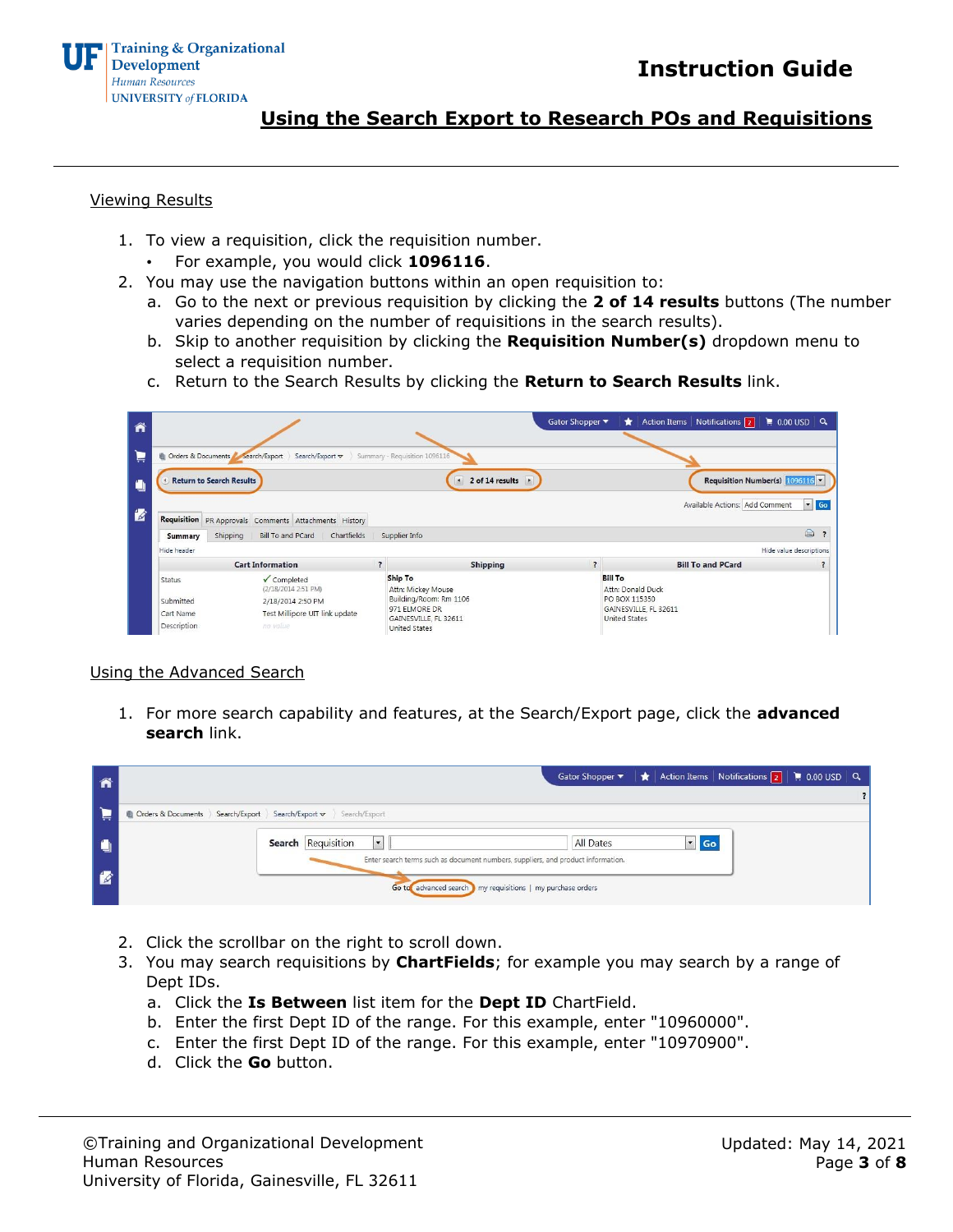

#### Viewing Results

- 1. To view a requisition, click the requisition number.
	- For example, you would click **1096116**.
- 2. You may use the navigation buttons within an open requisition to:
	- a. Go to the next or previous requisition by clicking the **2 of 14 results** buttons (The number varies depending on the number of requisitions in the search results).
	- b. Skip to another requisition by clicking the **Requisition Number(s)** dropdown menu to select a requisition number.
	- c. Return to the Search Results by clicking the **Return to Search Results** link.

| ñ            |                                  |                                                       |                               |                                                       | Gator Shopper ▼ | Action Items   Notifications 2<br>$\star$     | $\approx 0.00 \text{ USD}$ Q       |
|--------------|----------------------------------|-------------------------------------------------------|-------------------------------|-------------------------------------------------------|-----------------|-----------------------------------------------|------------------------------------|
| 真            | Orders & Documents Search/Export | Search/Export $\blacktriangledown$                    | Summary - Requisition 1096116 |                                                       |                 |                                               |                                    |
| $\mathbf{C}$ | <b>Return to Search Results</b>  |                                                       |                               | 2 of 14 results $\rightarrow$<br>$\blacktriangleleft$ |                 | Requisition Number(s) 1096116 -               |                                    |
| 圈            |                                  | Requisition PR Approvals Comments Attachments History |                               |                                                       |                 | Available Actions: Add Comment                | $\vert \cdot \vert$ Go<br>$\oplus$ |
|              | Summary                          | Shipping<br>Bill To and PCard<br>Chartfields          | Supplier Info                 |                                                       |                 |                                               |                                    |
|              | Hide header                      |                                                       |                               |                                                       |                 |                                               | Hide value descriptions            |
|              |                                  | <b>Cart Information</b>                               | $\overline{\cdot}$            | <b>Shipping</b>                                       | $\overline{2}$  | <b>Bill To and PCard</b>                      |                                    |
|              | <b>Status</b>                    | ✔ Completed<br>(2/18/2014 2:51 PM)                    | Ship To                       | Attn: Mickey Mouse                                    |                 | <b>Bill To</b><br>Attn: Donald Duck           |                                    |
|              | Submitted                        | 2/18/2014 2:50 PM                                     |                               | Building/Room: Rm 1106                                |                 | PO BOX 115350                                 |                                    |
|              | Cart Name                        | Test Millipore UIT link update                        |                               | 971 ELMORE DR<br>GAINESVILLE, FL 32611                |                 | GAINESVILLE, FL 32611<br><b>United States</b> |                                    |
|              | Description                      | no value                                              | <b>United States</b>          |                                                       |                 |                                               |                                    |

#### Using the Advanced Search

1. For more search capability and features, at the Search/Export page, click the **advanced search** link.

|                                                              | Gator Shopper $\blacktriangledown$ $\blacktriangleright$ Action Items   Notifications 2     0.00 USD   Q |
|--------------------------------------------------------------|----------------------------------------------------------------------------------------------------------|
|                                                              |                                                                                                          |
| Orders & Documents Search/Export Search/Export Search/Export |                                                                                                          |
|                                                              |                                                                                                          |
|                                                              | $\blacksquare$ Go<br>All Dates                                                                           |
|                                                              | Enter search terms such as document numbers, suppliers, and product information.                         |
|                                                              | Go to advanced search my requisitions   my purchase orders                                               |
|                                                              | Search Requisition<br>$\mathbf{r}$                                                                       |

- 2. Click the scrollbar on the right to scroll down.
- 3. You may search requisitions by **ChartFields**; for example you may search by a range of Dept IDs.
	- a. Click the **Is Between** list item for the **Dept ID** ChartField.
	- b. Enter the first Dept ID of the range. For this example, enter "10960000".
	- c. Enter the first Dept ID of the range. For this example, enter "10970900".
	- d. Click the **Go** button.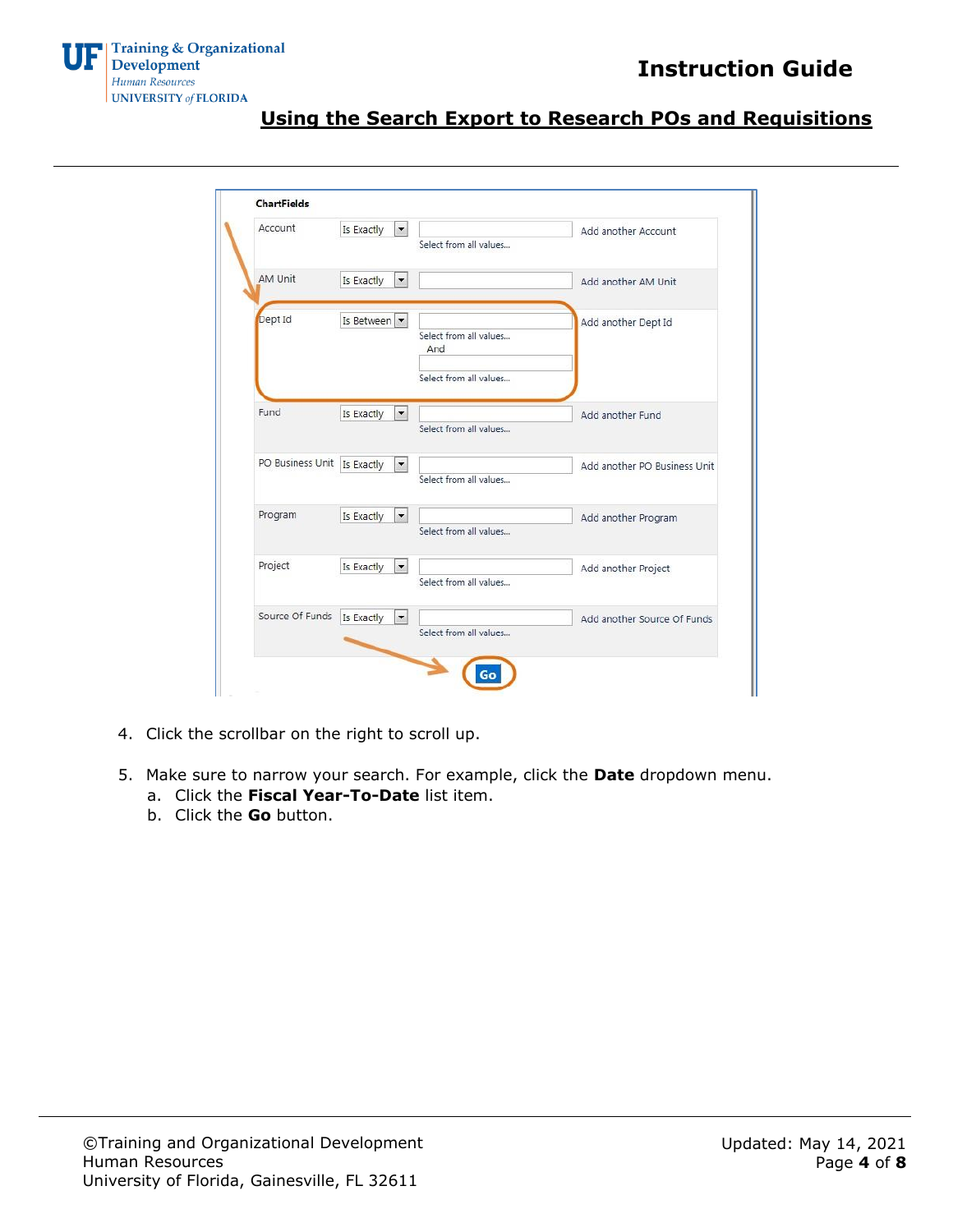

| Account          | $\vert$<br>Is Exactly                  | Select from all values                                  | Add another Account          |
|------------------|----------------------------------------|---------------------------------------------------------|------------------------------|
| AM Unit          | Is Exactly<br>$\overline{\phantom{a}}$ |                                                         | Add another AM Unit          |
| Dept Id          | Is Between                             | Select from all values<br>And<br>Select from all values | Add another Dept Id          |
| Fund             | $\overline{\phantom{a}}$<br>Is Exactly | Select from all values                                  | Add another Fund             |
| PO Business Unit | Is Exactly<br>$\overline{\phantom{a}}$ | Select from all values                                  | Add another PO Business Unit |
| Program          | Is Exactly<br>$\overline{ }$           | Select from all values                                  | Add another Program          |
| Project          | $\overline{\phantom{a}}$<br>Is Exactly | Select from all values                                  | Add another Project          |
| Source Of Funds  | $\overline{\phantom{a}}$<br>Is Exactly | Select from all values                                  | Add another Source Of Funds  |

- 4. Click the scrollbar on the right to scroll up.
- 5. Make sure to narrow your search. For example, click the **Date** dropdown menu.
	- a. Click the **Fiscal Year-To-Date** list item.
	- b. Click the **Go** button.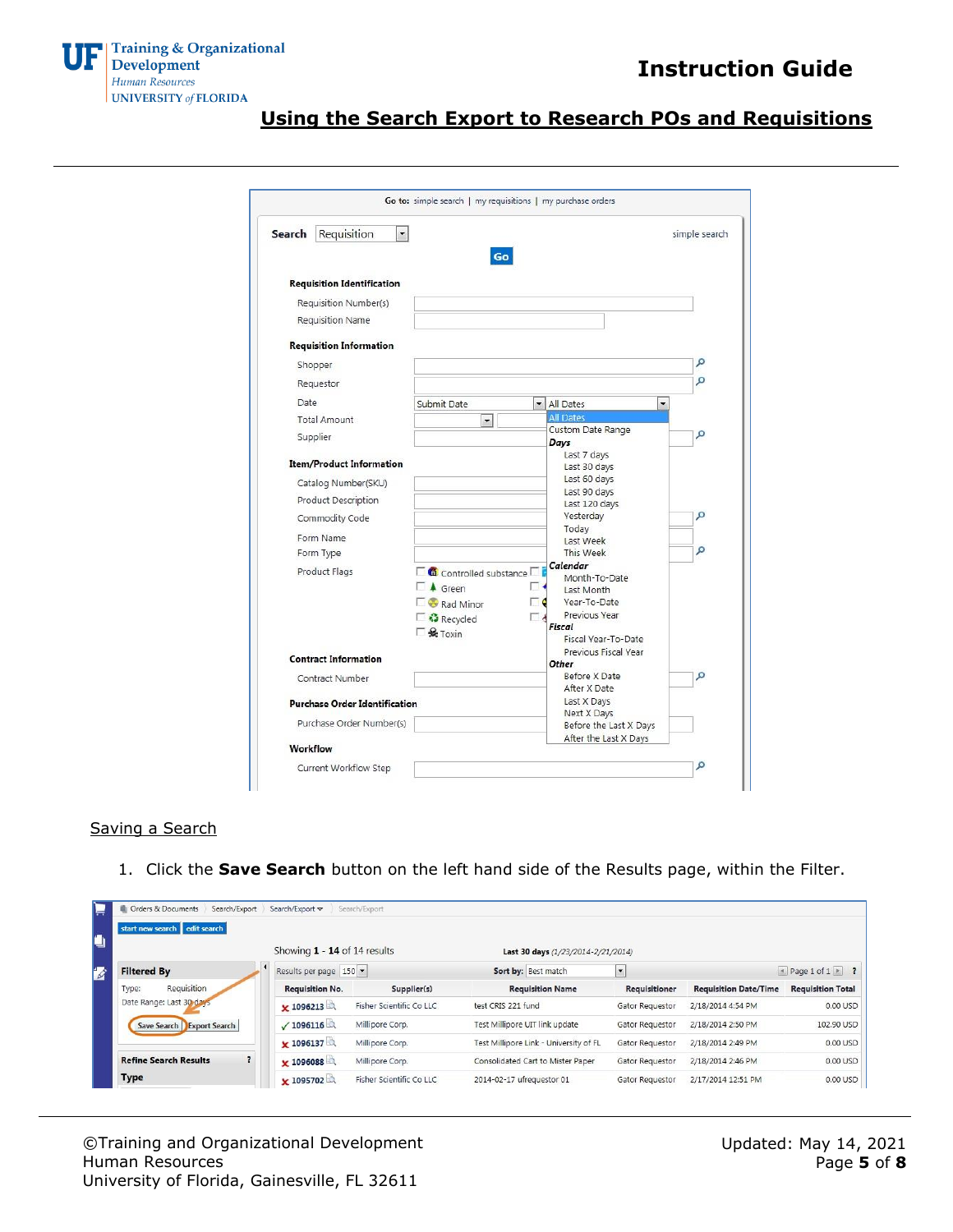

| Requisition<br>Search                | ۰.<br>Go                                        |            |                                                 | simple search |
|--------------------------------------|-------------------------------------------------|------------|-------------------------------------------------|---------------|
| <b>Requisition Identification</b>    |                                                 |            |                                                 |               |
| Requisition Number(s)                |                                                 |            |                                                 |               |
| Requisition Name                     |                                                 |            |                                                 |               |
| <b>Requisition Information</b>       |                                                 |            |                                                 |               |
| Shopper                              |                                                 |            |                                                 | ρ             |
| Requestor                            |                                                 |            |                                                 | Ω             |
| Date                                 | Submit Date                                     |            | • All Dates<br>▼                                |               |
| <b>Total Amount</b>                  | $\mathbf{r}$                                    |            | <b>All Dates</b>                                |               |
|                                      |                                                 |            | Custom Date Range                               | Ω             |
| Supplier                             |                                                 |            | Days                                            |               |
| <b>Item/Product Information</b>      |                                                 |            | Last 7 days                                     |               |
|                                      |                                                 |            | Last 30 days<br>Last 60 days                    |               |
| Catalog Number(SKU)                  |                                                 |            | Last 90 days                                    |               |
| Product Description                  |                                                 |            | Last 120 days                                   |               |
| Commodity Code                       |                                                 |            | Yesterday                                       | Ω             |
| Form Name                            |                                                 |            | Today<br>Last Week                              |               |
| Form Type                            |                                                 |            | This Week                                       | Ω             |
| Product Flags                        | Controlled substance                            |            | Calendar                                        |               |
|                                      | $\Box$ 4 Green                                  |            | Month-To-Date                                   |               |
|                                      |                                                 |            | Last Month<br>Year-To-Date                      |               |
|                                      | Rad Minor                                       | $\Gamma$ 6 | Previous Year                                   |               |
|                                      | Recycled<br>$\Box$ $\mathbf{\mathcal{L}}$ Toxin |            | Fiscal                                          |               |
|                                      |                                                 |            | Fiscal Year-To-Date                             |               |
| <b>Contract Information</b>          |                                                 |            | Previous Fiscal Year                            |               |
| Contract Number                      |                                                 |            | Other<br>Before X Date                          | Ω             |
|                                      |                                                 |            | After X Date                                    |               |
| <b>Purchase Order Identification</b> |                                                 |            | Last X Days                                     |               |
| Purchase Order Number(s)             |                                                 |            | Next X Days                                     |               |
|                                      |                                                 |            | Before the Last X Days<br>After the Last X Days |               |

#### Saving a Search

1. Click the **Save Search** button on the left hand side of the Results page, within the Filter.

| start new search edit search | Showing 1 - 14 of 14 results |                          | Last 30 days (1/23/2014-2/21/2014)     |                 |                              |                          |
|------------------------------|------------------------------|--------------------------|----------------------------------------|-----------------|------------------------------|--------------------------|
| <b>Filtered By</b>           | Results per page 150         |                          | Sort by: Best match                    | $\blacksquare$  |                              | 1 Page 1 of 1 > ?        |
| Requisition<br>Type:         | <b>Requisition No.</b>       | Supplier(s)              | <b>Requisition Name</b>                | Requisitioner   | <b>Requisition Date/Time</b> | <b>Requisition Total</b> |
| Date Range: Last 30 days     | $\times$ 1096213             | Fisher Scientific Co LLC | test CRIS 221 fund                     | Gator Requestor | 2/18/2014 4:54 PM            | 0.00 USD                 |
| Save Search Export Search    | $\sqrt{1096116}$             | Millipore Corp.          | Test Millipore UIT link update         | Gator Requestor | 2/18/2014 2:50 PM            | 102.90 USD               |
|                              | × 1096137                    | Millipore Corp.          | Test Millipore Link - University of FL | Gator Requestor | 2/18/2014 2:49 PM            | 0.00 USD                 |
| <b>Refine Search Results</b> | $\times$ 1096088             | Millipore Corp.          | Consolidated Cart to Mister Paper      | Gator Requestor | 2/18/2014 2:46 PM            | 0.00 USD                 |
| Type                         | × 1095702                    | Fisher Scientific Co LLC | 2014-02-17 ufrequestor 01              | Gator Requestor | 2/17/2014 12:51 PM           | 0.00 USD                 |

©Training and Organizational Development Human Resources University of Florida, Gainesville, FL 32611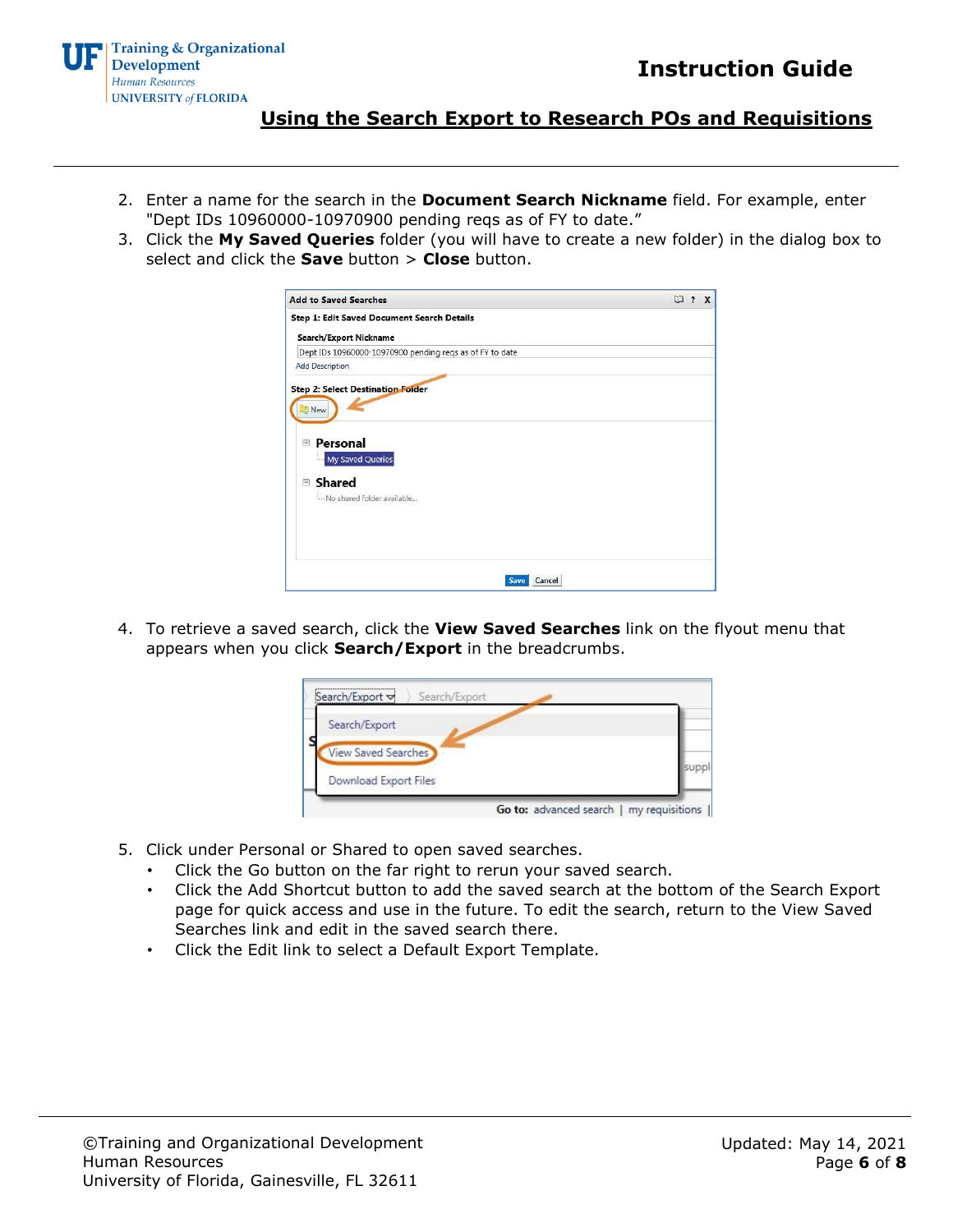

- 2. Enter a name for the search in the **Document Search Nickname** field. For example, enter "Dept IDs 10960000-10970900 pending reqs as of FY to date."
- 3. Click the **My Saved Queries** folder (you will have to create a new folder) in the dialog box to select and click the **Save** button > **Close** button.

| <b>Add to Saved Searches</b>                                                                                                 |        | $\Box$ ? | $\mathbf{x}$ |
|------------------------------------------------------------------------------------------------------------------------------|--------|----------|--------------|
| Step 1: Edit Saved Document Search Details                                                                                   |        |          |              |
| Search/Export Nickname                                                                                                       |        |          |              |
| Dept IDs 10960000-10970900 pending reqs as of FY to date                                                                     |        |          |              |
| <b>Add Description</b>                                                                                                       |        |          |              |
| <b>Step 2: Select Destination Folder</b><br>New<br>Personal<br>Ξ<br>My Saved Queries<br>Shared<br>Mo shared folder available |        |          |              |
| <b>Save</b>                                                                                                                  | Cancel |          |              |

4. To retrieve a saved search, click the **View Saved Searches** link on the flyout menu that appears when you click **Search/Export** in the breadcrumbs.

| Search/Export              |  |
|----------------------------|--|
| <b>View Saved Searches</b> |  |
| Download Export Files      |  |

- 5. Click under Personal or Shared to open saved searches.
	- Click the Go button on the far right to rerun your saved search.
	- Click the Add Shortcut button to add the saved search at the bottom of the Search Export page for quick access and use in the future. To edit the search, return to the View Saved Searches link and edit in the saved search there.
	- Click the Edit link to select a Default Export Template.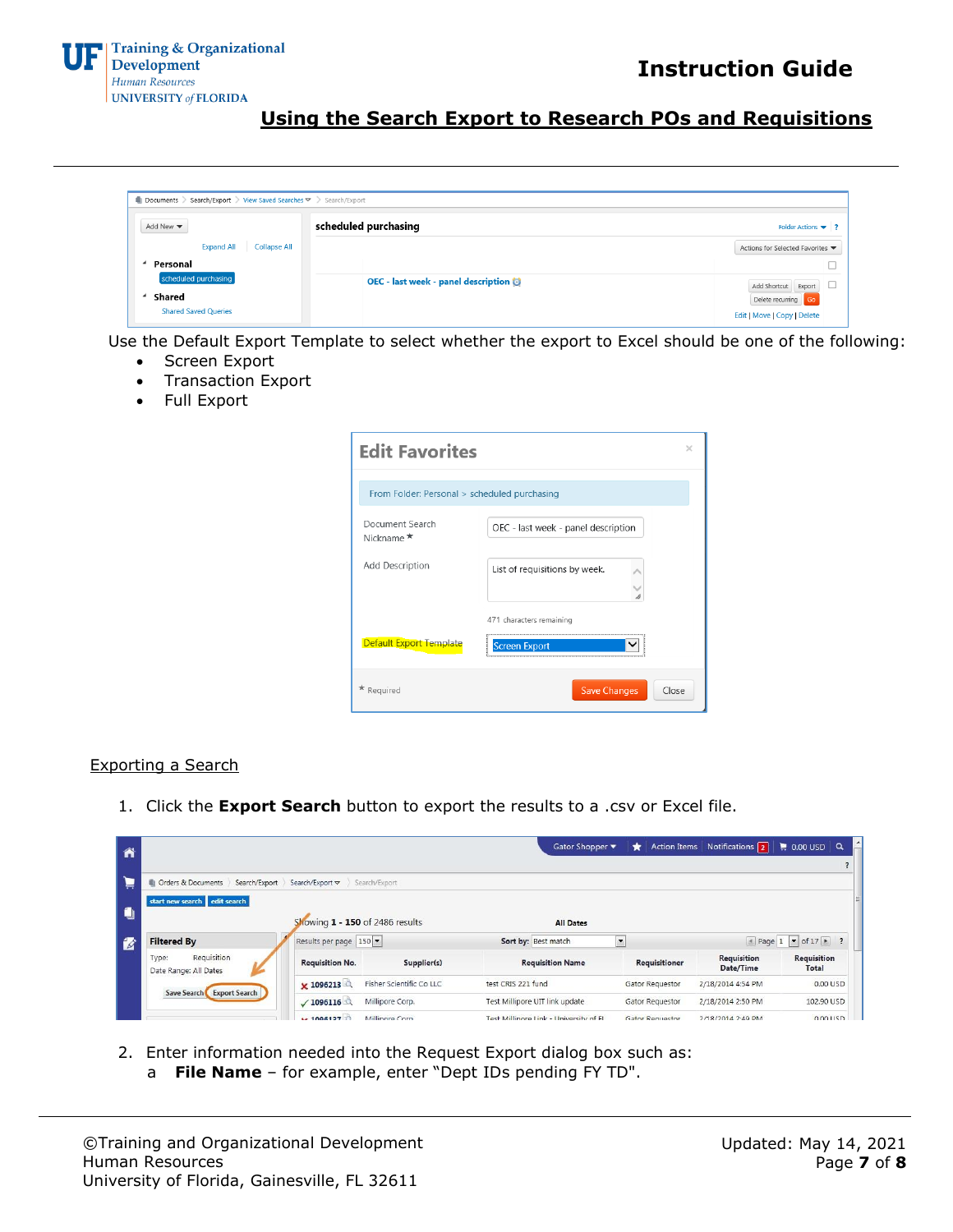

| <b>Expand All</b><br>Collapse All |                                  |
|-----------------------------------|----------------------------------|
|                                   | Actions for Selected Favorites ▼ |
| Personal                          |                                  |

Use the Default Export Template to select whether the export to Excel should be one of the following:

- Screen Export
- Transaction Export
- Full Export

| <b>Edit Favorites</b>                        |                                     |
|----------------------------------------------|-------------------------------------|
| From Folder: Personal > scheduled purchasing |                                     |
| Document Search<br>Nickname <sup>★</sup>     | OEC - last week - panel description |
| Add Description                              | List of requisitions by week.       |
|                                              | 471 characters remaining            |
| <b>Default Export Template</b>               | <b>Screen Export</b>                |
| $\star$ Required                             | <b>Save Changes</b><br>Close        |

#### Exporting a Search

1. Click the **Export Search** button to export the results to a .csv or Excel file.

| Â  |                                                                                     |                               |                          | Gator Shopper                          | $\star$                  | Action Items Notifications 2    | $\parallel$ 0.00 USD $\parallel$ Q           |
|----|-------------------------------------------------------------------------------------|-------------------------------|--------------------------|----------------------------------------|--------------------------|---------------------------------|----------------------------------------------|
| 眞  | Orders & Documents<br>Search/Export                                                 | Search/Export $\triangledown$ | Search/Export            |                                        |                          |                                 |                                              |
| O  | start new search edit search<br>Showing 1 - 150 of 2486 results<br><b>All Dates</b> |                               |                          |                                        |                          |                                 |                                              |
| 12 | <b>Filtered By</b>                                                                  | Results per page 150          |                          | Sort by: Best match                    | $\overline{\phantom{a}}$ |                                 | $\bullet$ Page 1 $\bullet$ of 17 $\bullet$ ? |
|    | Requisition<br>Type:<br>Date Range: All Dates                                       | <b>Requisition No.</b>        | Supplier(s)              | <b>Requisition Name</b>                | Requisitioner            | <b>Requisition</b><br>Date/Time | <b>Requisition</b><br>Total                  |
|    |                                                                                     | x 1096213                     | Fisher Scientific Co LLC | test CRIS 221 fund                     | Gator Requestor          | 2/18/2014 4:54 PM               | 0.00 USD                                     |
|    | Save Search Export Search                                                           | $\sqrt{1096116}$              | Millipore Corp.          | Test Millipore UIT link update         | Gator Requestor          | 2/18/2014 2:50 PM               | 102.90 USD                                   |
|    |                                                                                     | $+ 1006127$                   | Millinore Corp.          | Tost Millinora Link - University of FL | Gator Regulactor         | 2/18/2014 2:49 PM               | 0.00115D                                     |

- 2. Enter information needed into the Request Export dialog box such as:
	- a **File Name**  for example, enter "Dept IDs pending FY TD".